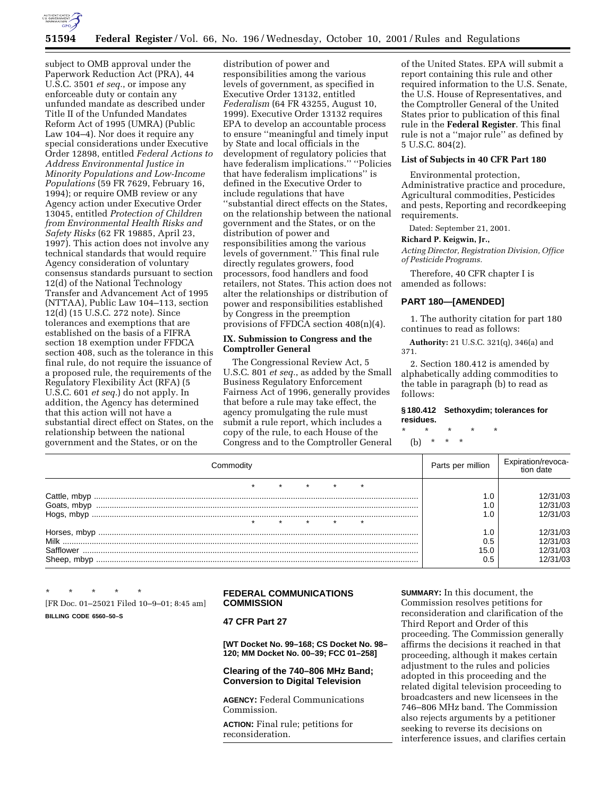

# **51594 Federal Register** / Vol. 66, No. 196 / Wednesday, October 10, 2001 / Rules and Regulations

subject to OMB approval under the Paperwork Reduction Act (PRA), 44 U.S.C. 3501 *et seq.*, or impose any enforceable duty or contain any unfunded mandate as described under Title II of the Unfunded Mandates Reform Act of 1995 (UMRA) (Public Law 104–4). Nor does it require any special considerations under Executive Order 12898, entitled *Federal Actions to Address Environmental Justice in Minority Populations and Low-Income Populations* (59 FR 7629, February 16, 1994); or require OMB review or any Agency action under Executive Order 13045, entitled *Protection of Children from Environmental Health Risks and Safety Risks* (62 FR 19885, April 23, 1997). This action does not involve any technical standards that would require Agency consideration of voluntary consensus standards pursuant to section 12(d) of the National Technology Transfer and Advancement Act of 1995 (NTTAA), Public Law 104–113, section 12(d) (15 U.S.C. 272 note). Since tolerances and exemptions that are established on the basis of a FIFRA section 18 exemption under FFDCA section 408, such as the tolerance in this final rule, do not require the issuance of a proposed rule, the requirements of the Regulatory Flexibility Act (RFA) (5 U.S.C. 601 *et seq.*) do not apply. In addition, the Agency has determined that this action will not have a substantial direct effect on States, on the relationship between the national government and the States, or on the

distribution of power and responsibilities among the various levels of government, as specified in Executive Order 13132, entitled *Federalism* (64 FR 43255, August 10, 1999). Executive Order 13132 requires EPA to develop an accountable process to ensure ''meaningful and timely input by State and local officials in the development of regulatory policies that have federalism implications.'' ''Policies that have federalism implications'' is defined in the Executive Order to include regulations that have ''substantial direct effects on the States, on the relationship between the national government and the States, or on the distribution of power and responsibilities among the various levels of government.'' This final rule directly regulates growers, food processors, food handlers and food retailers, not States. This action does not alter the relationships or distribution of power and responsibilities established by Congress in the preemption provisions of FFDCA section 408(n)(4).

## **IX. Submission to Congress and the Comptroller General**

The Congressional Review Act, 5 U.S.C. 801 *et seq.*, as added by the Small Business Regulatory Enforcement Fairness Act of 1996, generally provides that before a rule may take effect, the agency promulgating the rule must submit a rule report, which includes a copy of the rule, to each House of the Congress and to the Comptroller General

of the United States. EPA will submit a report containing this rule and other required information to the U.S. Senate, the U.S. House of Representatives, and the Comptroller General of the United States prior to publication of this final rule in the **Federal Register**. This final rule is not a ''major rule'' as defined by 5 U.S.C. 804(2).

# **List of Subjects in 40 CFR Part 180**

Environmental protection, Administrative practice and procedure, Agricultural commodities, Pesticides and pests, Reporting and recordkeeping requirements.

Dated: September 21, 2001.

### **Richard P. Keigwin, Jr.,**

*Acting Director, Registration Division, Office of Pesticide Programs.*

Therefore, 40 CFR chapter I is amended as follows:

### **PART 180—[AMENDED]**

1. The authority citation for part 180 continues to read as follows:

**Authority:** 21 U.S.C. 321(q), 346(a) and 371.

2. Section 180.412 is amended by alphabetically adding commodities to the table in paragraph (b) to read as follows:

#### **§ 180.412 Sethoxydim; tolerances for residues.**

\* \* \* \* \*

(b) \* \* \*

| Commodity | Parts per million | Expiration/revoca-<br>tion date |
|-----------|-------------------|---------------------------------|
|           |                   |                                 |
|           |                   | 12/31/03                        |
|           |                   | 12/31/03                        |
|           |                   | 12/31/03                        |
|           |                   |                                 |
|           |                   | 12/31/03                        |
|           | 0.5               | 12/31/03                        |
|           | 15.0              | 12/31/03                        |
|           | 0.5               | 12/31/03                        |

\* \* \* \* \* [FR Doc. 01–25021 Filed 10–9–01; 8:45 am] **BILLING CODE 6560–50–S**

# **FEDERAL COMMUNICATIONS COMMISSION**

## **47 CFR Part 27**

**[WT Docket No. 99–168; CS Docket No. 98– 120; MM Docket No. 00–39; FCC 01–258]**

## **Clearing of the 740–806 MHz Band; Conversion to Digital Television**

**AGENCY:** Federal Communications Commission.

**ACTION:** Final rule; petitions for reconsideration.

**SUMMARY:** In this document, the Commission resolves petitions for reconsideration and clarification of the Third Report and Order of this proceeding. The Commission generally affirms the decisions it reached in that proceeding, although it makes certain adjustment to the rules and policies adopted in this proceeding and the related digital television proceeding to broadcasters and new licensees in the 746–806 MHz band. The Commission also rejects arguments by a petitioner seeking to reverse its decisions on interference issues, and clarifies certain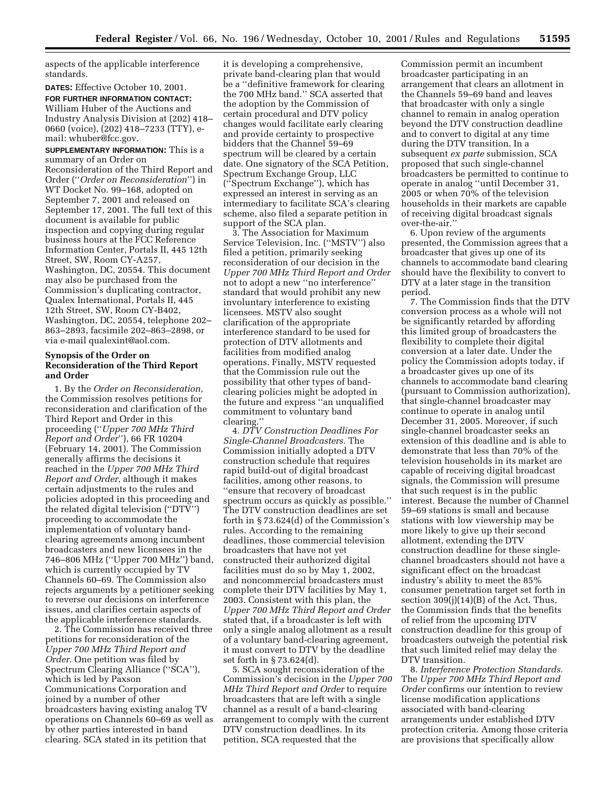aspects of the applicable interference standards.

**DATES:** Effective October 10, 2001.

**FOR FURTHER INFORMATION CONTACT:** William Huber of the Auctions and Industry Analysis Division at (202) 418– 0660 (voice), (202) 418–7233 (TTY), email: whuber@fcc.gov.

**SUPPLEMENTARY INFORMATION:** This is a summary of an Order on

Reconsideration of the Third Report and Order (''*Order on Reconsideration*'') in WT Docket No. 99–168, adopted on September 7, 2001 and released on September 17, 2001. The full text of this document is available for public inspection and copying during regular business hours at the FCC Reference Information Center, Portals II, 445 12th Street, SW, Room CY-A257, Washington, DC, 20554. This document may also be purchased from the Commission's duplicating contractor, Qualex International, Portals II, 445 12th Street, SW, Room CY-B402, Washington, DC, 20554, telephone 202– 863–2893, facsimile 202–863–2898, or via e-mail qualexint@aol.com.

## **Synopsis of the Order on Reconsideration of the Third Report and Order**

1. By the *Order on Reconsideration,* the Commission resolves petitions for reconsideration and clarification of the Third Report and Order in this proceeding (''*Upper 700 MHz Third Report and Order*''), 66 FR 10204 (February 14, 2001). The Commission generally affirms the decisions it reached in the *Upper 700 MHz Third Report and Order,* although it makes certain adjustments to the rules and policies adopted in this proceeding and the related digital television (''DTV'') proceeding to accommodate the implementation of voluntary bandclearing agreements among incumbent broadcasters and new licensees in the 746–806 MHz (''Upper 700 MHz'') band, which is currently occupied by TV Channels 60–69. The Commission also rejects arguments by a petitioner seeking to reverse our decisions on interference issues, and clarifies certain aspects of the applicable interference standards.

2. The Commission has received three petitions for reconsideration of the *Upper 700 MHz Third Report and Order.* One petition was filed by Spectrum Clearing Alliance (''SCA''), which is led by Paxson Communications Corporation and joined by a number of other broadcasters having existing analog TV operations on Channels 60–69 as well as by other parties interested in band clearing. SCA stated in its petition that

it is developing a comprehensive, private band-clearing plan that would be a ''definitive framework for clearing the 700 MHz band.'' SCA asserted that the adoption by the Commission of certain procedural and DTV policy changes would facilitate early clearing and provide certainty to prospective bidders that the Channel 59–69 spectrum will be cleared by a certain date. One signatory of the SCA Petition, Spectrum Exchange Group, LLC (''Spectrum Exchange''), which has expressed an interest in serving as an intermediary to facilitate SCA's clearing scheme, also filed a separate petition in support of the SCA plan.

3. The Association for Maximum Service Television, Inc. (''MSTV'') also filed a petition, primarily seeking reconsideration of our decision in the *Upper 700 MHz Third Report and Order* not to adopt a new ''no interference'' standard that would prohibit any new involuntary interference to existing licensees. MSTV also sought clarification of the appropriate interference standard to be used for protection of DTV allotments and facilities from modified analog operations. Finally, MSTV requested that the Commission rule out the possibility that other types of bandclearing policies might be adopted in the future and express ''an unqualified commitment to voluntary band clearing.''

4. *DTV Construction Deadlines For Single-Channel Broadcasters.* The Commission initially adopted a DTV construction schedule that requires rapid build-out of digital broadcast facilities, among other reasons, to ''ensure that recovery of broadcast spectrum occurs as quickly as possible.'' The DTV construction deadlines are set forth in § 73.624(d) of the Commission's rules. According to the remaining deadlines, those commercial television broadcasters that have not yet constructed their authorized digital facilities must do so by May 1, 2002, and noncommercial broadcasters must complete their DTV facilities by May 1, 2003. Consistent with this plan, the *Upper 700 MHz Third Report and Order* stated that, if a broadcaster is left with only a single analog allotment as a result of a voluntary band-clearing agreement, it must convert to DTV by the deadline set forth in § 73.624(d).

5. SCA sought reconsideration of the Commission's decision in the *Upper 700 MHz Third Report and Order* to require broadcasters that are left with a single channel as a result of a band-clearing arrangement to comply with the current DTV construction deadlines. In its petition, SCA requested that the

Commission permit an incumbent broadcaster participating in an arrangement that clears an allotment in the Channels 59–69 band and leaves that broadcaster with only a single channel to remain in analog operation beyond the DTV construction deadline and to convert to digital at any time during the DTV transition. In a subsequent *ex parte* submission, SCA proposed that such single-channel broadcasters be permitted to continue to operate in analog ''until December 31, 2005 or when 70% of the television households in their markets are capable of receiving digital broadcast signals over-the-air.''

6. Upon review of the arguments presented, the Commission agrees that a broadcaster that gives up one of its channels to accommodate band clearing should have the flexibility to convert to DTV at a later stage in the transition period.

7. The Commission finds that the DTV conversion process as a whole will not be significantly retarded by affording this limited group of broadcasters the flexibility to complete their digital conversion at a later date. Under the policy the Commission adopts today, if a broadcaster gives up one of its channels to accommodate band clearing (pursuant to Commission authorization), that single-channel broadcaster may continue to operate in analog until December 31, 2005. Moreover, if such single-channel broadcaster seeks an extension of this deadline and is able to demonstrate that less than 70% of the television households in its market are capable of receiving digital broadcast signals, the Commission will presume that such request is in the public interest. Because the number of Channel 59–69 stations is small and because stations with low viewership may be more likely to give up their second allotment, extending the DTV construction deadline for these singlechannel broadcasters should not have a significant effect on the broadcast industry's ability to meet the 85% consumer penetration target set forth in section 309(j)(14)(B) of the Act. Thus, the Commission finds that the benefits of relief from the upcoming DTV construction deadline for this group of broadcasters outweigh the potential risk that such limited relief may delay the DTV transition.

8. *Interference Protection Standards.* The *Upper 700 MHz Third Report and Order* confirms our intention to review license modification applications associated with band-clearing arrangements under established DTV protection criteria. Among those criteria are provisions that specifically allow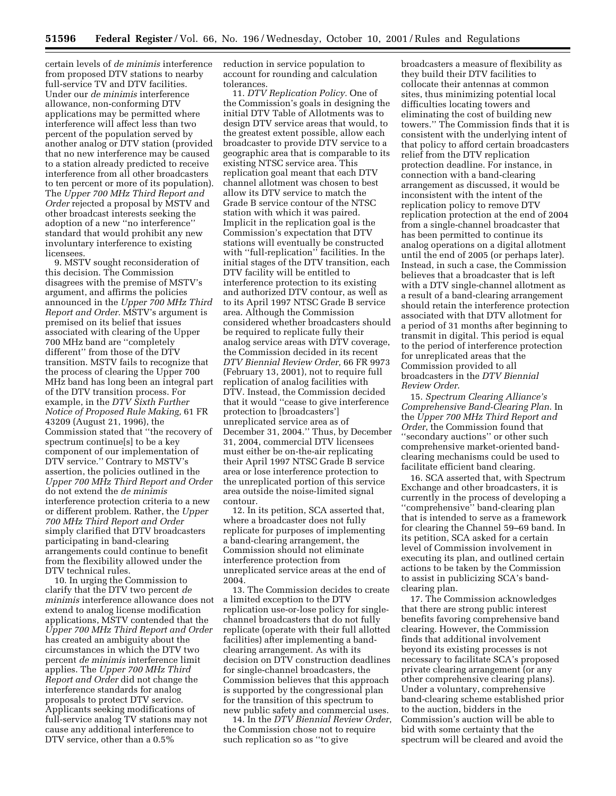certain levels of *de minimis* interference from proposed DTV stations to nearby full-service TV and DTV facilities. Under our *de minimis* interference allowance, non-conforming DTV applications may be permitted where interference will affect less than two percent of the population served by another analog or DTV station (provided that no new interference may be caused to a station already predicted to receive interference from all other broadcasters to ten percent or more of its population). The *Upper 700 MHz Third Report and Order* rejected a proposal by MSTV and other broadcast interests seeking the adoption of a new ''no interference'' standard that would prohibit any new involuntary interference to existing licensees.

9. MSTV sought reconsideration of this decision. The Commission disagrees with the premise of MSTV's argument, and affirms the policies announced in the *Upper 700 MHz Third Report and Order.* MSTV's argument is premised on its belief that issues associated with clearing of the Upper 700 MHz band are ''completely different'' from those of the DTV transition. MSTV fails to recognize that the process of clearing the Upper 700 MHz band has long been an integral part of the DTV transition process. For example, in the *DTV Sixth Further Notice of Proposed Rule Making,* 61 FR 43209 (August 21, 1996), the Commission stated that ''the recovery of spectrum continue[s] to be a key component of our implementation of DTV service.'' Contrary to MSTV's assertion, the policies outlined in the *Upper 700 MHz Third Report and Order* do not extend the *de minimis* interference protection criteria to a new or different problem. Rather, the *Upper 700 MHz Third Report and Order* simply clarified that DTV broadcasters participating in band-clearing arrangements could continue to benefit from the flexibility allowed under the DTV technical rules.

10. In urging the Commission to clarify that the DTV two percent *de minimis* interference allowance does not extend to analog license modification applications, MSTV contended that the *Upper 700 MHz Third Report and Order* has created an ambiguity about the circumstances in which the DTV two percent *de minimis* interference limit applies. The *Upper 700 MHz Third Report and Order* did not change the interference standards for analog proposals to protect DTV service. Applicants seeking modifications of full-service analog TV stations may not cause any additional interference to DTV service, other than a 0.5%

reduction in service population to account for rounding and calculation tolerances.

11. *DTV Replication Policy.* One of the Commission's goals in designing the initial DTV Table of Allotments was to design DTV service areas that would, to the greatest extent possible, allow each broadcaster to provide DTV service to a geographic area that is comparable to its existing NTSC service area. This replication goal meant that each DTV channel allotment was chosen to best allow its DTV service to match the Grade B service contour of the NTSC station with which it was paired. Implicit in the replication goal is the Commission's expectation that DTV stations will eventually be constructed with "full-replication" facilities. In the initial stages of the DTV transition, each DTV facility will be entitled to interference protection to its existing and authorized DTV contour, as well as to its April 1997 NTSC Grade B service area. Although the Commission considered whether broadcasters should be required to replicate fully their analog service areas with DTV coverage, the Commission decided in its recent *DTV Biennial Review Order,* 66 FR 9973 (February 13, 2001), not to require full replication of analog facilities with DTV. Instead, the Commission decided that it would ''cease to give interference protection to [broadcasters'] unreplicated service area as of December 31, 2004.'' Thus, by December 31, 2004, commercial DTV licensees must either be on-the-air replicating their April 1997 NTSC Grade B service area or lose interference protection to the unreplicated portion of this service area outside the noise-limited signal contour.

12. In its petition, SCA asserted that, where a broadcaster does not fully replicate for purposes of implementing a band-clearing arrangement, the Commission should not eliminate interference protection from unreplicated service areas at the end of 2004.

13. The Commission decides to create a limited exception to the DTV replication use-or-lose policy for singlechannel broadcasters that do not fully replicate (operate with their full allotted facilities) after implementing a bandclearing arrangement. As with its decision on DTV construction deadlines for single-channel broadcasters, the Commission believes that this approach is supported by the congressional plan for the transition of this spectrum to new public safety and commercial uses.

14. In the *DTV Biennial Review Order*, the Commission chose not to require such replication so as ''to give

broadcasters a measure of flexibility as they build their DTV facilities to collocate their antennas at common sites, thus minimizing potential local difficulties locating towers and eliminating the cost of building new towers.'' The Commission finds that it is consistent with the underlying intent of that policy to afford certain broadcasters relief from the DTV replication protection deadline. For instance, in connection with a band-clearing arrangement as discussed, it would be inconsistent with the intent of the replication policy to remove DTV replication protection at the end of 2004 from a single-channel broadcaster that has been permitted to continue its analog operations on a digital allotment until the end of 2005 (or perhaps later). Instead, in such a case, the Commission believes that a broadcaster that is left with a DTV single-channel allotment as a result of a band-clearing arrangement should retain the interference protection associated with that DTV allotment for a period of 31 months after beginning to transmit in digital. This period is equal to the period of interference protection for unreplicated areas that the Commission provided to all broadcasters in the *DTV Biennial Review Order*.

15. *Spectrum Clearing Alliance's Comprehensive Band-Clearing Plan*. In the *Upper 700 MHz Third Report and Order*, the Commission found that ''secondary auctions'' or other such comprehensive market-oriented bandclearing mechanisms could be used to facilitate efficient band clearing.

16. SCA asserted that, with Spectrum Exchange and other broadcasters, it is currently in the process of developing a ''comprehensive'' band-clearing plan that is intended to serve as a framework for clearing the Channel 59–69 band. In its petition, SCA asked for a certain level of Commission involvement in executing its plan, and outlined certain actions to be taken by the Commission to assist in publicizing SCA's bandclearing plan.

17. The Commission acknowledges that there are strong public interest benefits favoring comprehensive band clearing. However, the Commission finds that additional involvement beyond its existing processes is not necessary to facilitate SCA's proposed private clearing arrangement (or any other comprehensive clearing plans). Under a voluntary, comprehensive band-clearing scheme established prior to the auction, bidders in the Commission's auction will be able to bid with some certainty that the spectrum will be cleared and avoid the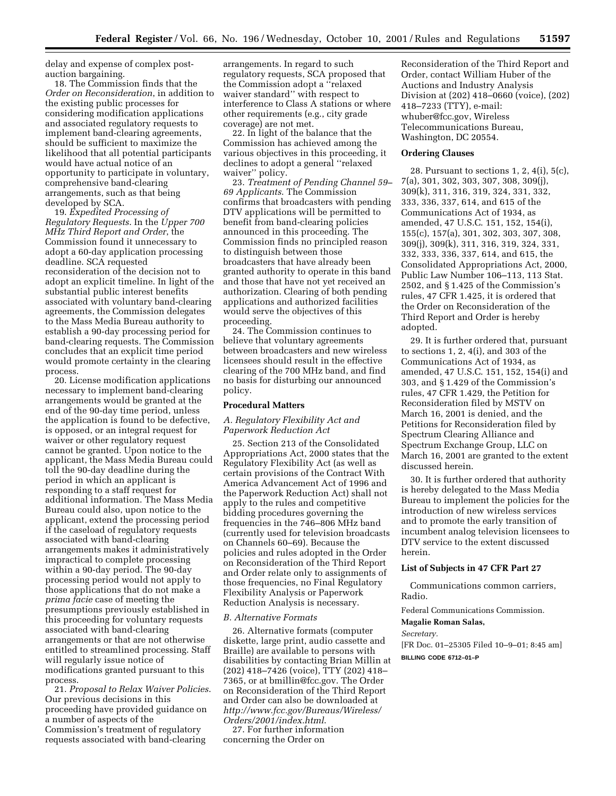delay and expense of complex postauction bargaining.

18. The Commission finds that the *Order on Reconsideration*, in addition to the existing public processes for considering modification applications and associated regulatory requests to implement band-clearing agreements, should be sufficient to maximize the likelihood that all potential participants would have actual notice of an opportunity to participate in voluntary, comprehensive band-clearing arrangements, such as that being developed by SCA.

19. *Expedited Processing of Regulatory Requests*. In the *Upper 700 MHz Third Report and Order*, the Commission found it unnecessary to adopt a 60-day application processing deadline. SCA requested reconsideration of the decision not to adopt an explicit timeline. In light of the substantial public interest benefits associated with voluntary band-clearing agreements, the Commission delegates to the Mass Media Bureau authority to establish a 90-day processing period for band-clearing requests. The Commission concludes that an explicit time period would promote certainty in the clearing process.

20. License modification applications necessary to implement band-clearing arrangements would be granted at the end of the 90-day time period, unless the application is found to be defective, is opposed, or an integral request for waiver or other regulatory request cannot be granted. Upon notice to the applicant, the Mass Media Bureau could toll the 90-day deadline during the period in which an applicant is responding to a staff request for additional information. The Mass Media Bureau could also, upon notice to the applicant, extend the processing period if the caseload of regulatory requests associated with band-clearing arrangements makes it administratively impractical to complete processing within a 90-day period. The 90-day processing period would not apply to those applications that do not make a *prima facie* case of meeting the presumptions previously established in this proceeding for voluntary requests associated with band-clearing arrangements or that are not otherwise entitled to streamlined processing. Staff will regularly issue notice of modifications granted pursuant to this process.

21. *Proposal to Relax Waiver Policies*. Our previous decisions in this proceeding have provided guidance on a number of aspects of the Commission's treatment of regulatory requests associated with band-clearing

arrangements. In regard to such regulatory requests, SCA proposed that the Commission adopt a ''relaxed waiver standard'' with respect to interference to Class A stations or where other requirements (e.g., city grade coverage) are not met.

22. In light of the balance that the Commission has achieved among the various objectives in this proceeding, it declines to adopt a general ''relaxed waiver'' policy.

23. *Treatment of Pending Channel 59– 69 Applicants*. The Commission confirms that broadcasters with pending DTV applications will be permitted to benefit from band-clearing policies announced in this proceeding. The Commission finds no principled reason to distinguish between those broadcasters that have already been granted authority to operate in this band and those that have not yet received an authorization. Clearing of both pending applications and authorized facilities would serve the objectives of this proceeding.

24. The Commission continues to believe that voluntary agreements between broadcasters and new wireless licensees should result in the effective clearing of the 700 MHz band, and find no basis for disturbing our announced policy.

### **Procedural Matters**

## *A. Regulatory Flexibility Act and Paperwork Reduction Act*

25. Section 213 of the Consolidated Appropriations Act, 2000 states that the Regulatory Flexibility Act (as well as certain provisions of the Contract With America Advancement Act of 1996 and the Paperwork Reduction Act) shall not apply to the rules and competitive bidding procedures governing the frequencies in the 746–806 MHz band (currently used for television broadcasts on Channels 60–69). Because the policies and rules adopted in the Order on Reconsideration of the Third Report and Order relate only to assignments of those frequencies, no Final Regulatory Flexibility Analysis or Paperwork Reduction Analysis is necessary.

### *B. Alternative Formats*

26. Alternative formats (computer diskette, large print, audio cassette and Braille) are available to persons with disabilities by contacting Brian Millin at (202) 418–7426 (voice), TTY (202) 418– 7365, or at bmillin@fcc.gov. The Order on Reconsideration of the Third Report and Order can also be downloaded at *http://www.fcc.gov/Bureaus/Wireless/ Orders/2001/index.html*.

27. For further information concerning the Order on

Reconsideration of the Third Report and Order, contact William Huber of the Auctions and Industry Analysis Division at (202) 418–0660 (voice), (202) 418–7233 (TTY), e-mail: whuber@fcc.gov, Wireless Telecommunications Bureau, Washington, DC 20554.

### **Ordering Clauses**

28. Pursuant to sections  $1, 2, 4(i)$ ,  $5(c)$ , 7(a), 301, 302, 303, 307, 308, 309(j), 309(k), 311, 316, 319, 324, 331, 332, 333, 336, 337, 614, and 615 of the Communications Act of 1934, as amended, 47 U.S.C. 151, 152, 154(i), 155(c), 157(a), 301, 302, 303, 307, 308, 309(j), 309(k), 311, 316, 319, 324, 331, 332, 333, 336, 337, 614, and 615, the Consolidated Appropriations Act, 2000, Public Law Number 106–113, 113 Stat. 2502, and § 1.425 of the Commission's rules, 47 CFR 1.425, it is ordered that the Order on Reconsideration of the Third Report and Order is hereby adopted.

29. It is further ordered that, pursuant to sections 1, 2, 4(i), and 303 of the Communications Act of 1934, as amended, 47 U.S.C. 151, 152, 154(i) and 303, and § 1.429 of the Commission's rules, 47 CFR 1.429, the Petition for Reconsideration filed by MSTV on March 16, 2001 is denied, and the Petitions for Reconsideration filed by Spectrum Clearing Alliance and Spectrum Exchange Group, LLC on March 16, 2001 are granted to the extent discussed herein.

30. It is further ordered that authority is hereby delegated to the Mass Media Bureau to implement the policies for the introduction of new wireless services and to promote the early transition of incumbent analog television licensees to DTV service to the extent discussed herein.

## **List of Subjects in 47 CFR Part 27**

Communications common carriers, Radio.

Federal Communications Commission.

#### **Magalie Roman Salas,**

*Secretary.* [FR Doc. 01–25305 Filed 10–9–01; 8:45 am]

**BILLING CODE 6712–01–P**